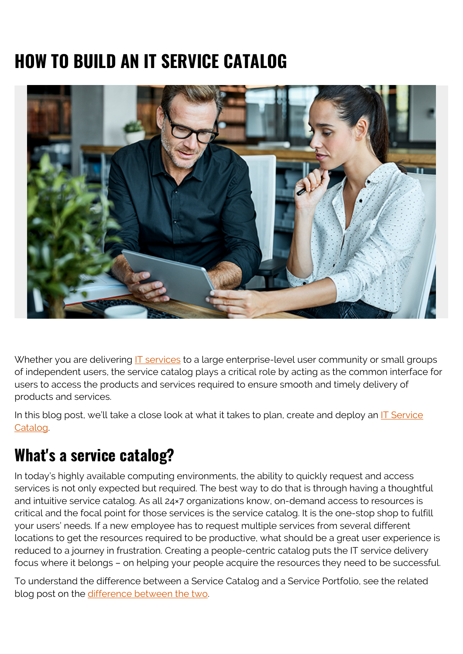# **HOW TO BUILD AN IT SERVICE CATALOG**



Whether you are delivering  $IT$  services to a large enterprise-level user community or small groups of independent users, the service catalog plays a critical role by acting as the common interface for users to access the products and services required to ensure smooth and timely delivery of products and services.

In this blog post, we'll take a close look at what it takes to plan, create and deploy an [IT Service](https://blogs.bmc.com/blogs/it-service-catalog/) [Catalog.](https://blogs.bmc.com/blogs/it-service-catalog/)

## **What's a service catalog?**

In today's highly available computing environments, the ability to quickly request and access services is not only expected but required. The best way to do that is through having a thoughtful and intuitive service catalog. As all 24×7 organizations know, on-demand access to resources is critical and the focal point for those services is the service catalog. It is the one-stop shop to fulfill your users' needs. If a new employee has to request multiple services from several different locations to get the resources required to be productive, what should be a great user experience is reduced to a journey in frustration. Creating a people-centric catalog puts the IT service delivery focus where it belongs – on helping your people acquire the resources they need to be successful.

To understand the difference between a Service Catalog and a Service Portfolio, see the related blog post on the [difference between the two](https://blogs.bmc.com/blogs/service-catalog-vs-service-portfolio-whats-the-difference/).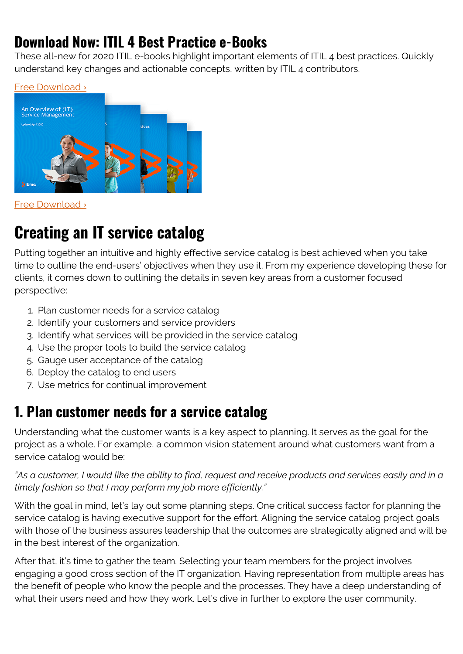### **Download Now: ITIL 4 Best Practice e-Books**

These all-new for 2020 ITIL e-books highlight important elements of ITIL 4 best practices. Quickly understand key changes and actionable concepts, written by ITIL 4 contributors.





[Free Download ›](https://www.bmc.com/forms/itil-free-ebook.html)

### **Creating an IT service catalog**

Putting together an intuitive and highly effective service catalog is best achieved when you take time to outline the end-users' objectives when they use it. From my experience developing these for clients, it comes down to outlining the details in seven key areas from a customer focused perspective:

- 1. Plan customer needs for a service catalog
- 2. Identify your customers and service providers
- 3. Identify what services will be provided in the service catalog
- 4. Use the proper tools to build the service catalog
- 5. Gauge user acceptance of the catalog
- 6. Deploy the catalog to end users
- 7. Use metrics for continual improvement

### **1. Plan customer needs for a service catalog**

Understanding what the customer wants is a key aspect to planning. It serves as the goal for the project as a whole. For example, a common vision statement around what customers want from a service catalog would be:

#### *"As a customer, I would like the ability to find, request and receive products and services easily and in a timely fashion so that I may perform my job more efficiently."*

With the goal in mind, let's lay out some planning steps. One critical success factor for planning the service catalog is having executive support for the effort. Aligning the service catalog project goals with those of the business assures leadership that the outcomes are strategically aligned and will be in the best interest of the organization.

After that, it's time to gather the team. Selecting your team members for the project involves engaging a good cross section of the IT organization. Having representation from multiple areas has the benefit of people who know the people and the processes. They have a deep understanding of what their users need and how they work. Let's dive in further to explore the user community.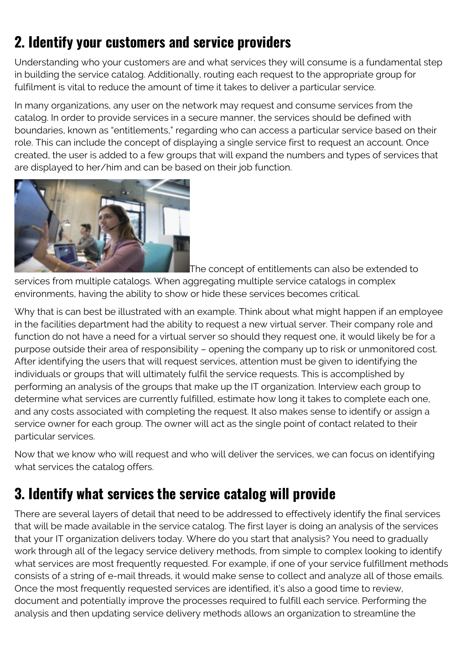### **2. Identify your customers and service providers**

Understanding who your customers are and what services they will consume is a fundamental step in building the service catalog. Additionally, routing each request to the appropriate group for fulfilment is vital to reduce the amount of time it takes to deliver a particular service.

In many organizations, any user on the network may request and consume services from the catalog. In order to provide services in a secure manner, the services should be defined with boundaries, known as "entitlements," regarding who can access a particular service based on their role. This can include the concept of displaying a single service first to request an account. Once created, the user is added to a few groups that will expand the numbers and types of services that are displayed to her/him and can be based on their job function.



The concept of entitlements can also be extended to

services from multiple catalogs. When aggregating multiple service catalogs in complex environments, having the ability to show or hide these services becomes critical.

Why that is can best be illustrated with an example. Think about what might happen if an employee in the facilities department had the ability to request a new virtual server. Their company role and function do not have a need for a virtual server so should they request one, it would likely be for a purpose outside their area of responsibility – opening the company up to risk or unmonitored cost. After identifying the users that will request services, attention must be given to identifying the individuals or groups that will ultimately fulfil the service requests. This is accomplished by performing an analysis of the groups that make up the IT organization. Interview each group to determine what services are currently fulfilled, estimate how long it takes to complete each one, and any costs associated with completing the request. It also makes sense to identify or assign a service owner for each group. The owner will act as the single point of contact related to their particular services.

Now that we know who will request and who will deliver the services, we can focus on identifying what services the catalog offers.

#### **3. Identify what services the service catalog will provide**

There are several layers of detail that need to be addressed to effectively identify the final services that will be made available in the service catalog. The first layer is doing an analysis of the services that your IT organization delivers today. Where do you start that analysis? You need to gradually work through all of the legacy service delivery methods, from simple to complex looking to identify what services are most frequently requested. For example, if one of your service fulfillment methods consists of a string of e-mail threads, it would make sense to collect and analyze all of those emails. Once the most frequently requested services are identified, it's also a good time to review, document and potentially improve the processes required to fulfill each service. Performing the analysis and then updating service delivery methods allows an organization to streamline the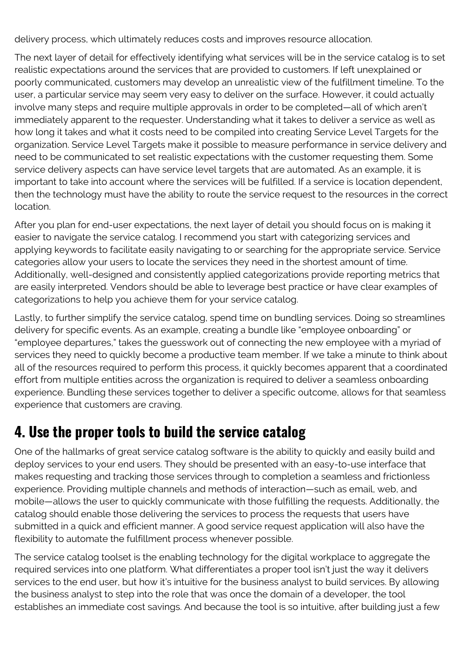delivery process, which ultimately reduces costs and improves resource allocation.

The next layer of detail for effectively identifying what services will be in the service catalog is to set realistic expectations around the services that are provided to customers. If left unexplained or poorly communicated, customers may develop an unrealistic view of the fulfillment timeline. To the user, a particular service may seem very easy to deliver on the surface. However, it could actually involve many steps and require multiple approvals in order to be completed—all of which aren't immediately apparent to the requester. Understanding what it takes to deliver a service as well as how long it takes and what it costs need to be compiled into creating Service Level Targets for the organization. Service Level Targets make it possible to measure performance in service delivery and need to be communicated to set realistic expectations with the customer requesting them. Some service delivery aspects can have service level targets that are automated. As an example, it is important to take into account where the services will be fulfilled. If a service is location dependent, then the technology must have the ability to route the service request to the resources in the correct location.

After you plan for end-user expectations, the next layer of detail you should focus on is making it easier to navigate the service catalog. I recommend you start with categorizing services and applying keywords to facilitate easily navigating to or searching for the appropriate service. Service categories allow your users to locate the services they need in the shortest amount of time. Additionally, well-designed and consistently applied categorizations provide reporting metrics that are easily interpreted. Vendors should be able to leverage best practice or have clear examples of categorizations to help you achieve them for your service catalog.

Lastly, to further simplify the service catalog, spend time on bundling services. Doing so streamlines delivery for specific events. As an example, creating a bundle like "employee onboarding" or "employee departures," takes the guesswork out of connecting the new employee with a myriad of services they need to quickly become a productive team member. If we take a minute to think about all of the resources required to perform this process, it quickly becomes apparent that a coordinated effort from multiple entities across the organization is required to deliver a seamless onboarding experience. Bundling these services together to deliver a specific outcome, allows for that seamless experience that customers are craving.

### **4. Use the proper tools to build the service catalog**

One of the hallmarks of great service catalog software is the ability to quickly and easily build and deploy services to your end users. They should be presented with an easy-to-use interface that makes requesting and tracking those services through to completion a seamless and frictionless experience. Providing multiple channels and methods of interaction—such as email, web, and mobile—allows the user to quickly communicate with those fulfilling the requests. Additionally, the catalog should enable those delivering the services to process the requests that users have submitted in a quick and efficient manner. A good service request application will also have the flexibility to automate the fulfillment process whenever possible.

The service catalog toolset is the enabling technology for the digital workplace to aggregate the required services into one platform. What differentiates a proper tool isn't just the way it delivers services to the end user, but how it's intuitive for the business analyst to build services. By allowing the business analyst to step into the role that was once the domain of a developer, the tool establishes an immediate cost savings. And because the tool is so intuitive, after building just a few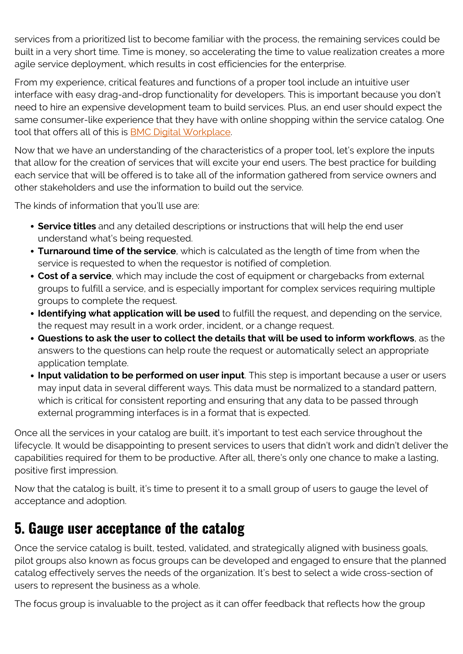services from a prioritized list to become familiar with the process, the remaining services could be built in a very short time. Time is money, so accelerating the time to value realization creates a more agile service deployment, which results in cost efficiencies for the enterprise.

From my experience, critical features and functions of a proper tool include an intuitive user interface with easy drag-and-drop functionality for developers. This is important because you don't need to hire an expensive development team to build services. Plus, an end user should expect the same consumer-like experience that they have with online shopping within the service catalog. One tool that offers all of this is [BMC Digital Workplace.](https://blogs.bmc.com/it-solutions/digital-workplace.html)

Now that we have an understanding of the characteristics of a proper tool, let's explore the inputs that allow for the creation of services that will excite your end users. The best practice for building each service that will be offered is to take all of the information gathered from service owners and other stakeholders and use the information to build out the service.

The kinds of information that you'll use are:

- **Service titles** and any detailed descriptions or instructions that will help the end user understand what's being requested.
- **Turnaround time of the service**, which is calculated as the length of time from when the service is requested to when the requestor is notified of completion.
- **Cost of a service**, which may include the cost of equipment or chargebacks from external groups to fulfill a service, and is especially important for complex services requiring multiple groups to complete the request.
- **Identifying what application will be used** to fulfill the request, and depending on the service, the request may result in a work order, incident, or a change request.
- **Questions to ask the user to collect the details that will be used to inform workflows**, as the answers to the questions can help route the request or automatically select an appropriate application template.
- **Input validation to be performed on user input**. This step is important because a user or users may input data in several different ways. This data must be normalized to a standard pattern, which is critical for consistent reporting and ensuring that any data to be passed through external programming interfaces is in a format that is expected.

Once all the services in your catalog are built, it's important to test each service throughout the lifecycle. It would be disappointing to present services to users that didn't work and didn't deliver the capabilities required for them to be productive. After all, there's only one chance to make a lasting, positive first impression.

Now that the catalog is built, it's time to present it to a small group of users to gauge the level of acceptance and adoption.

#### **5. Gauge user acceptance of the catalog**

Once the service catalog is built, tested, validated, and strategically aligned with business goals, pilot groups also known as focus groups can be developed and engaged to ensure that the planned catalog effectively serves the needs of the organization. It's best to select a wide cross-section of users to represent the business as a whole.

The focus group is invaluable to the project as it can offer feedback that reflects how the group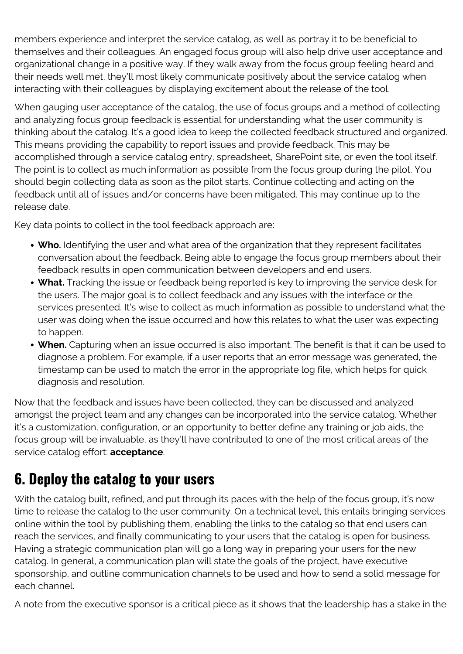members experience and interpret the service catalog, as well as portray it to be beneficial to themselves and their colleagues. An engaged focus group will also help drive user acceptance and organizational change in a positive way. If they walk away from the focus group feeling heard and their needs well met, they'll most likely communicate positively about the service catalog when interacting with their colleagues by displaying excitement about the release of the tool.

When gauging user acceptance of the catalog, the use of focus groups and a method of collecting and analyzing focus group feedback is essential for understanding what the user community is thinking about the catalog. It's a good idea to keep the collected feedback structured and organized. This means providing the capability to report issues and provide feedback. This may be accomplished through a service catalog entry, spreadsheet, SharePoint site, or even the tool itself. The point is to collect as much information as possible from the focus group during the pilot. You should begin collecting data as soon as the pilot starts. Continue collecting and acting on the feedback until all of issues and/or concerns have been mitigated. This may continue up to the release date.

Key data points to collect in the tool feedback approach are:

- **Who.** Identifying the user and what area of the organization that they represent facilitates conversation about the feedback. Being able to engage the focus group members about their feedback results in open communication between developers and end users.
- **What.** Tracking the issue or feedback being reported is key to improving the service desk for the users. The major goal is to collect feedback and any issues with the interface or the services presented. It's wise to collect as much information as possible to understand what the user was doing when the issue occurred and how this relates to what the user was expecting to happen.
- **When.** Capturing when an issue occurred is also important. The benefit is that it can be used to diagnose a problem. For example, if a user reports that an error message was generated, the timestamp can be used to match the error in the appropriate log file, which helps for quick diagnosis and resolution.

Now that the feedback and issues have been collected, they can be discussed and analyzed amongst the project team and any changes can be incorporated into the service catalog. Whether it's a customization, configuration, or an opportunity to better define any training or job aids, the focus group will be invaluable, as they'll have contributed to one of the most critical areas of the service catalog effort: **acceptance**.

### **6. Deploy the catalog to your users**

With the catalog built, refined, and put through its paces with the help of the focus group, it's now time to release the catalog to the user community. On a technical level, this entails bringing services online within the tool by publishing them, enabling the links to the catalog so that end users can reach the services, and finally communicating to your users that the catalog is open for business. Having a strategic communication plan will go a long way in preparing your users for the new catalog. In general, a communication plan will state the goals of the project, have executive sponsorship, and outline communication channels to be used and how to send a solid message for each channel.

A note from the executive sponsor is a critical piece as it shows that the leadership has a stake in the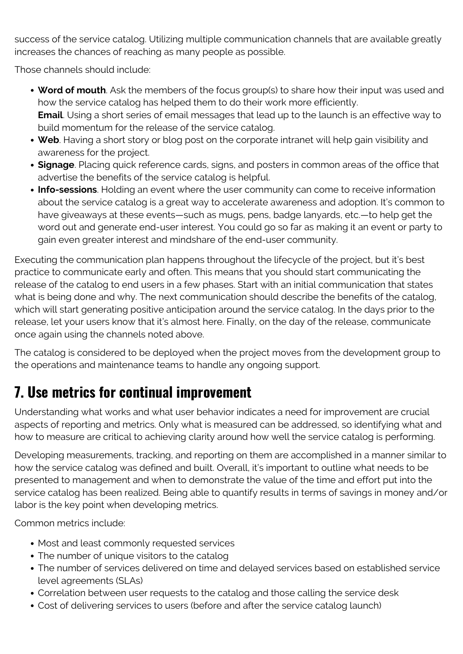success of the service catalog. Utilizing multiple communication channels that are available greatly increases the chances of reaching as many people as possible.

Those channels should include:

- **Word of mouth**. Ask the members of the focus group(s) to share how their input was used and how the service catalog has helped them to do their work more efficiently. **Email**. Using a short series of email messages that lead up to the launch is an effective way to build momentum for the release of the service catalog.
- **Web**. Having a short story or blog post on the corporate intranet will help gain visibility and awareness for the project.
- **Signage**. Placing quick reference cards, signs, and posters in common areas of the office that advertise the benefits of the service catalog is helpful.
- **Info-sessions**. Holding an event where the user community can come to receive information about the service catalog is a great way to accelerate awareness and adoption. It's common to have giveaways at these events—such as mugs, pens, badge lanyards, etc.—to help get the word out and generate end-user interest. You could go so far as making it an event or party to gain even greater interest and mindshare of the end-user community.

Executing the communication plan happens throughout the lifecycle of the project, but it's best practice to communicate early and often. This means that you should start communicating the release of the catalog to end users in a few phases. Start with an initial communication that states what is being done and why. The next communication should describe the benefits of the catalog, which will start generating positive anticipation around the service catalog. In the days prior to the release, let your users know that it's almost here. Finally, on the day of the release, communicate once again using the channels noted above.

The catalog is considered to be deployed when the project moves from the development group to the operations and maintenance teams to handle any ongoing support.

#### **7. Use metrics for continual improvement**

Understanding what works and what user behavior indicates a need for improvement are crucial aspects of reporting and metrics. Only what is measured can be addressed, so identifying what and how to measure are critical to achieving clarity around how well the service catalog is performing.

Developing measurements, tracking, and reporting on them are accomplished in a manner similar to how the service catalog was defined and built. Overall, it's important to outline what needs to be presented to management and when to demonstrate the value of the time and effort put into the service catalog has been realized. Being able to quantify results in terms of savings in money and/or labor is the key point when developing metrics.

Common metrics include:

- Most and least commonly requested services
- The number of unique visitors to the catalog
- The number of services delivered on time and delayed services based on established service level agreements (SLAs)
- Correlation between user requests to the catalog and those calling the service desk
- Cost of delivering services to users (before and after the service catalog launch)